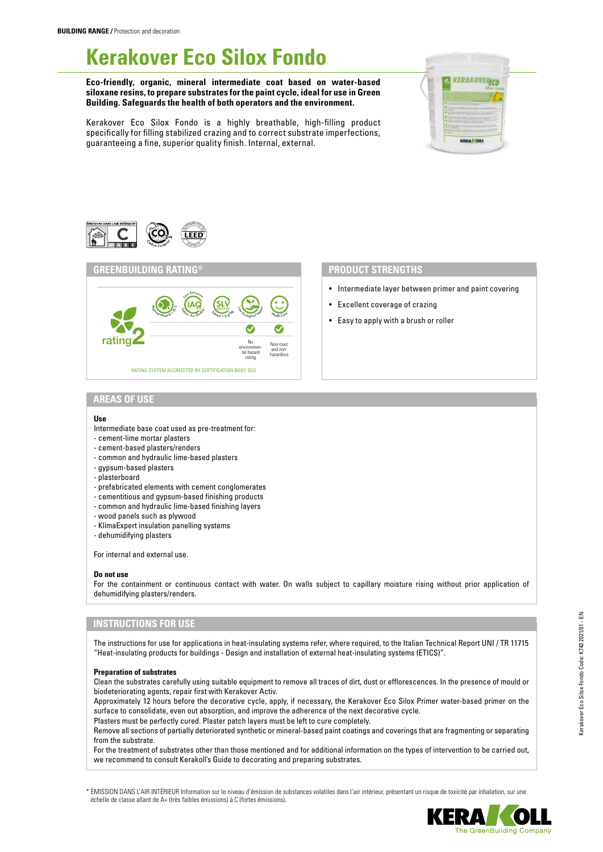# **Kerakover Eco Silox Fondo**

**Eco-friendly, organic, mineral intermediate coat based on water-based siloxane resins, to prepare substrates for the paint cycle, ideal for use in Green Building. Safeguards the health of both operators and the environment.**









- Intermediate layer between primer and paint covering
- Excellent coverage of crazing
- Easy to apply with a brush or roller

# **AREAS OF USE**

#### **Use**

- Intermediate base coat used as pre-treatment for:
- cement-lime mortar plasters
- cement-based plasters/renders
- common and hydraulic lime-based plasters
- gypsum-based plasters
- plasterboard
- prefabricated elements with cement conglomerates
- cementitious and gypsum-based finishing products
- common and hydraulic lime-based finishing layers
- wood panels such as plywood
- KlimaExpert insulation panelling systems
- dehumidifying plasters

For internal and external use.

#### **Do not use**

For the containment or continuous contact with water. On walls subject to capillary moisture rising without prior application of dehumidifying plasters/renders.

# **INSTRUCTIONS FOR USE**

The instructions for use for applications in heat-insulating systems refer, where required, to the Italian Technical Report UNI / TR 11715 "Heat-insulating products for buildings - Design and installation of external heat-insulating systems (ETICS)".

#### **Preparation of substrates**

Clean the substrates carefully using suitable equipment to remove all traces of dirt, dust or efflorescences. In the presence of mould or biodeteriorating agents, repair first with Kerakover Activ.

Approximately 12 hours before the decorative cycle, apply, if necessary, the Kerakover Eco Silox Primer water-based primer on the surface to consolidate, even out absorption, and improve the adherence of the next decorative cycle.

Plasters must be perfectly cured. Plaster patch layers must be left to cure completely.

Remove all sections of partially deteriorated synthetic or mineral-based paint coatings and coverings that are fragmenting or separating from the substrate.

For the treatment of substrates other than those mentioned and for additional information on the types of intervention to be carried out, we recommend to consult Kerakoll's Guide to decorating and preparing substrates.

\* ÉMISSION DANS L'AIR INTÉRIEUR Information sur le niveau d'émission de substances volatiles dans l'air intérieur, présentant un risque de toxicité par inhalation, sur une échelle de classe allant de A+ (très faibles émissions) à C (fortes émissions).